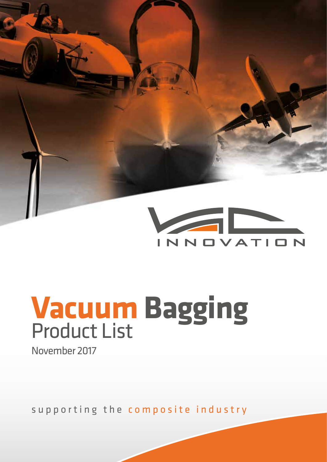

# **Vacuum Bagging** Product List November 2017

supporting the composite industry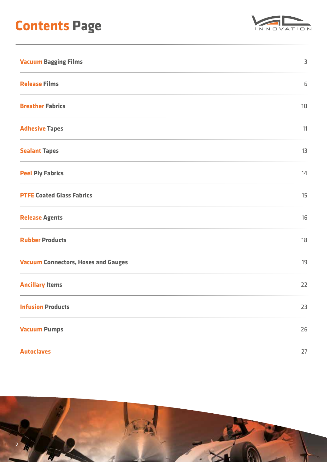## **Contents Page**



| <b>Vacuum Bagging Films</b>                | 3  |
|--------------------------------------------|----|
| <b>Release Films</b>                       | 6  |
| <b>Breather Fabrics</b>                    | 10 |
| <b>Adhesive Tapes</b>                      | 11 |
| <b>Sealant Tapes</b>                       | 13 |
| <b>Peel Ply Fabrics</b>                    | 14 |
| <b>PTFE Coated Glass Fabrics</b>           | 15 |
| <b>Release Agents</b>                      | 16 |
| <b>Rubber Products</b>                     | 18 |
| <b>Vacuum Connectors, Hoses and Gauges</b> | 19 |
| <b>Ancillary Items</b>                     | 22 |
| <b>Infusion Products</b>                   | 23 |
| <b>Vacuum Pumps</b>                        | 26 |
| <b>Autoclaves</b>                          | 27 |

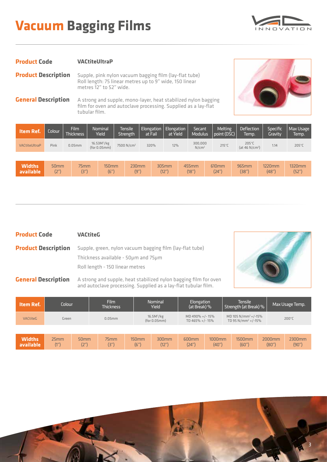## **Vacuum Bagging Films**



#### **Product Code VACtiteUltraP**

**Product Description** Supple, pink nylon vacuum bagging film (lay-flat tube) Roll length: 75 linear metres up to 9" wide, 150 linear metres 12" to 52" wide.

**General Description** A strong and supple, mono-layer, heat stabilized nylon bagging film for oven and autoclave processing. Supplied as a lay-flat tubular film.



| <b>Item Ref.</b> | Colour           | Film<br><b>Thickness</b> | Nominal<br>Yield                        | Tensile<br><b>Strength</b> | Elongation<br>at Fail | Elongation  <br>at Yield | <b>Secant</b><br><b>Modulus</b> | <b>Melting</b><br>point (DSC) | <b>Deflection</b><br>Temp.                    | Specific<br>Gravitv | Max Usage<br>Temp. |
|------------------|------------------|--------------------------|-----------------------------------------|----------------------------|-----------------------|--------------------------|---------------------------------|-------------------------------|-----------------------------------------------|---------------------|--------------------|
| VACtiteUltraP    | Pink             | $0.05$ mm                | 16.53M <sup>2</sup> /kg<br>(for 0.05mm) | 7500 N/cm <sup>2</sup>     | 320%                  | 12%                      | 300,000<br>N/cm <sup>2</sup>    | $215^{\circ}$ C               | $205^{\circ}$ C<br>(at 46 N/cm <sup>2</sup> ) | 1.14                | 205°C              |
|                  |                  |                          |                                         |                            |                       |                          |                                 |                               |                                               |                     |                    |
| <b>Widths</b>    | 50 <sub>mm</sub> | 75mm                     | $150$ mm                                | 230mm                      |                       | 305mm                    | 455mm                           | 610mm                         | 965mm                                         | 1220mm              | 1320mm             |

(12")

(18")

(24")

(38")

#### **Product Code VACtiteG**

(2")

(3")

**available**

**Product Description** Supple, green, nylon vacuum bagging film (lay-flat tube) Thickness available - 50μm and 75μm Roll length - 150 linear metres

(6")

(9")

**General Description** A strong and supple, heat stabilized nylon bagging film for oven and autoclave processing. Supplied as a lay-flat tubular film.



(48")

(52")

| Item Ref.                  | Colour       |              | Film<br><b>Thickness</b> |                  | Nominal<br>Yield                       | Elongation<br>(at Break) %       |                 | Tensile<br>Strength (at Break) %                           |                 | Max Usage Temp. |
|----------------------------|--------------|--------------|--------------------------|------------------|----------------------------------------|----------------------------------|-----------------|------------------------------------------------------------|-----------------|-----------------|
| <b>VACtiteG</b>            | Green        |              | $0.05$ mm                |                  | 16.5M <sup>2</sup> /kg<br>(for 0.05mm) | MD 490% +/-15%<br>TD 465% +/-15% |                 | $MD 105 N/mm^2 + (-15\%$<br>TD 95 N/mm <sup>2</sup> +/-15% |                 | 200°C           |
|                            |              |              |                          |                  |                                        |                                  |                 |                                                            |                 |                 |
| <b>Widths</b><br>available | 25mm<br>(1") | 50mm<br>(2") | 75mm<br>(3")             | $150$ mm<br>(6") | 300mm<br>(12'')                        | 600 <sub>mm</sub><br>(24")       | 1000mm<br>(40") | <b>1500mm</b><br>(60")                                     | 2000mm<br>(80") | 2300mm<br>(90") |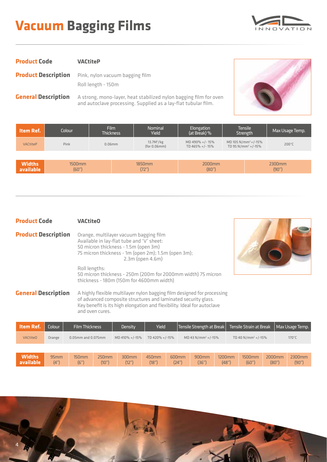## **Vacuum Bagging Films**



| <b>Product Code</b> | <b>VACtiteP</b>                                                                  |
|---------------------|----------------------------------------------------------------------------------|
|                     | <b>Product Description</b> Pink, nylon vacuum bagging film<br>Roll length - 150m |
|                     |                                                                                  |

**General Description** A strong, mono-layer, heat stabilized nylon bagging film for oven and autoclave processing. Supplied as a lay-flat tubular film.



| Item Ref.                  | Colour          | Film<br><b>Thickness</b> | Nominal<br>Yield                       | Elongation<br>(at Break) %       | <b>Tensile</b><br>Strength                                 |  | Max Usage Temp. |
|----------------------------|-----------------|--------------------------|----------------------------------------|----------------------------------|------------------------------------------------------------|--|-----------------|
| <b>VACtiteP</b>            | Pink            | $0.06$ mm                | 13.7M <sup>2</sup> /kg<br>(for 0.06mm) | MD 490% +/-15%<br>TD 465% +/-15% | $MD 105 N/mm^2 + (-15\%$<br>TD 95 N/mm <sup>2</sup> +/-15% |  | $200^{\circ}$ C |
|                            |                 |                          |                                        |                                  |                                                            |  |                 |
| <b>Widths</b><br>available | 1500mm<br>(60") |                          | 1850mm<br>(72")                        | 2000mm<br>(80")                  |                                                            |  | 2300mm<br>(90") |

| <b>Product Code</b>        | <b>VACtiteO</b>                                                                                                                                                                                                                         |  |  |  |  |  |  |
|----------------------------|-----------------------------------------------------------------------------------------------------------------------------------------------------------------------------------------------------------------------------------------|--|--|--|--|--|--|
| <b>Product Description</b> | Orange, multilayer vacuum bagging film<br>Available in lay-flat tube and 'V' sheet:<br>50 micron thickness - 1.5m (open 3m)<br>75 micron thickness - 1m (open 2m); 1.5m (open 3m);<br>2.3m (open 4.6m)                                  |  |  |  |  |  |  |
|                            | Roll lengths:<br>50 micron thickness - 250m (200m for 2000mm width) 75 micron<br>thickness - 180m (150m for 4600mm width)                                                                                                               |  |  |  |  |  |  |
| <b>General Description</b> | A highly flexible multilayer nylon bagging film designed for processing<br>of advanced composite structures and laminated security glass.<br>Key benefit is its high elongation and flexibility. Ideal for autoclave<br>and oven cures. |  |  |  |  |  |  |



| <b>Item Ref.</b>           | Colour                   | <b>Film Thickness</b>    |                   | Density           | Yield          |                | Tensile Strength at Break  |                    | Tensile Strain at Break        |                 | Max Usage Temp. |
|----------------------------|--------------------------|--------------------------|-------------------|-------------------|----------------|----------------|----------------------------|--------------------|--------------------------------|-----------------|-----------------|
| <b>VACtiteO</b>            | Orange                   | $0.05$ mm and $0.075$ mm |                   | MD 410% +/-15%    | TD 420% +/-15% |                | $MD 43 N/mm2 + (-15%)$     |                    | TD 40 N/mm <sup>2</sup> +/-15% |                 | $170^{\circ}$ C |
|                            |                          |                          |                   |                   |                |                |                            |                    |                                |                 |                 |
| <b>Widths</b><br>available | 95 <sub>mm</sub><br>(4") | 150mm<br>(6")            | $250$ mm<br>(10") | $300$ mm<br>(12") | 450mm<br>(18") | 600mm<br>(24") | 900 <sub>mm</sub><br>(36") | $1200$ mm<br>(48") | 1500mm<br>(60")                | 2000mm<br>(80") | 2300mm<br>(90") |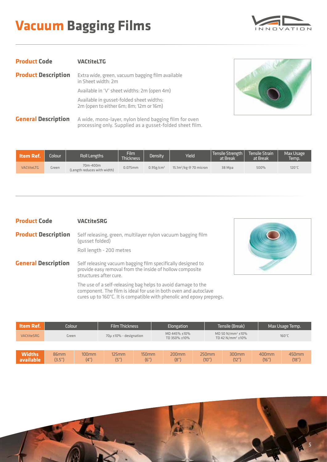## **Vacuum Bagging Films**



| <b>Product Code</b>        | <b>VACtiteLTG</b>                                                                                                 |
|----------------------------|-------------------------------------------------------------------------------------------------------------------|
| <b>Product Description</b> | Extra wide, green, vacuum bagging film available<br>in Sheet width: 2m                                            |
|                            | Available in 'V' sheet widths: 2m (open 4m)                                                                       |
|                            | Available in gusset-folded sheet widths:<br>2m (open to either 6m; 8m; 12m or 16m)                                |
| <b>General Description</b> | A wide, mono-layer, nylon blend bagging film for oven<br>processing only. Supplied as a gusset-folded sheet film. |



| ltem Ref.         | <b>Colour</b> | Roll Lengths                            | Film<br>Thickness | Density <sup>1</sup>     | Yield                    | Tensile Strength<br>at Break | Tensile Strain<br>at Break | Max Usage<br>Temp. |
|-------------------|---------------|-----------------------------------------|-------------------|--------------------------|--------------------------|------------------------------|----------------------------|--------------------|
| <b>VACtiteLTG</b> | Green         | 70m-400m<br>(Length reduces with width) | $0.075$ mm        | $0.95$ g/cm <sup>3</sup> | $15.1m^2/kg$ @ 70 micron | 38 Mpa                       | 500%                       | 120°C              |

#### **Product Code VACtiteSRG**

| Roll length - 200 metres | <b>Product Description</b> | Self releasing, green, multilayer nylon vacuum bagging film<br>(gusset folded) |
|--------------------------|----------------------------|--------------------------------------------------------------------------------|
|                          |                            |                                                                                |



**General Description** Self releasing vacuum bagging film specifically designed to provide easy removal from the inside of hollow composite structures after cure.

> The use of a self-releasing bag helps to avoid damage to the component. The film is ideal for use in both oven and autoclave cures up to 160°C. It is compatible with phenolic and epoxy prepregs.

| Item Ref.                  | Colour         |                  | <b>Film Thickness</b>  |                  | Elongation                   |  |                                                         | Tensile (Break)   |                | Max Usage Temp. |  |
|----------------------------|----------------|------------------|------------------------|------------------|------------------------------|--|---------------------------------------------------------|-------------------|----------------|-----------------|--|
| VACtiteSRG                 | Green          |                  | 70µ ±10% - designation |                  | MD 445% ±10%<br>TD 350% ±10% |  | $MD 50 N/mm^2 \pm 10\%$<br>TD 42 N/mm <sup>2</sup> ±10% |                   |                | $160^{\circ}$ C |  |
|                            |                |                  |                        |                  |                              |  |                                                         |                   |                |                 |  |
| <b>Widths</b><br>available | 86mm<br>(3.5") | $100$ mm<br>(4") | $125$ mm<br>(5")       | $150$ mm<br>(6") | $200$ mm<br>(8")             |  | 250mm<br>(10")                                          | $300$ mm<br>(12") | 400mm<br>(16") | 450mm<br>(18")  |  |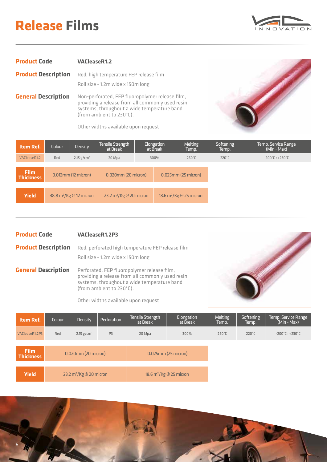

| <b>Product Code</b>        | <b>VACleaseR1.2</b>                                                                                                                                |
|----------------------------|----------------------------------------------------------------------------------------------------------------------------------------------------|
| <b>Product Description</b> | Red, high temperature FEP release film<br>Roll size - 1.2m wide x 150m long                                                                        |
| <b>General Description</b> | Non-perforated, FEP fluoropolymer release film,<br>providing a release from all commonly used resin<br>systems, throughout a wide temperature band |



Other widths available upon request

(from ambient to 230°C).

| <b>Item Ref.</b>                | Colour                 | Density                    | Tensile Strength<br>at Break |  | <b>Elongation</b><br>at Break | Melting<br>Temp.           | Softening<br>Temp. | Temp. Service Range<br>$(Min - Max)$ |
|---------------------------------|------------------------|----------------------------|------------------------------|--|-------------------------------|----------------------------|--------------------|--------------------------------------|
| VACleaseR1.2                    | Red                    | 2.15 $g/cm^2$              | 20 Mpa                       |  | 300%                          | $260^{\circ}$ C            | 220°C              | $-200^{\circ}$ C: $+230^{\circ}$ C   |
|                                 |                        |                            |                              |  |                               |                            |                    |                                      |
| <b>Film</b><br><b>Thickness</b> | $0.012$ mm (12 micron) |                            | $0.020$ mm $(20$ micron $)$  |  | $0.025$ mm $(25$ micron $)$   |                            |                    |                                      |
|                                 |                        |                            |                              |  |                               |                            |                    |                                      |
| <b>Yield</b>                    |                        | 38.8 $m^2$ /Kg @ 12 micron | 23.2 $m^2$ /Kg @ 20 micron   |  |                               | 18.6 $m^2$ /Kg @ 25 micron |                    |                                      |

- **Product Code Product Description General Description VACleaseR1.2P3** Red, perforated high temperature FEP release film Roll size - 1.2m wide x 150m long Perforated, FEP fluoropolymer release film,
	- providing a release from all commonly used resin systems, throughout a wide temperature band (from ambient to 230°C).



Other widths available upon request

| $-200^{\circ}$ C: $+230^{\circ}$ C |
|------------------------------------|
|                                    |
|                                    |
|                                    |
| $220^{\circ}$ C                    |

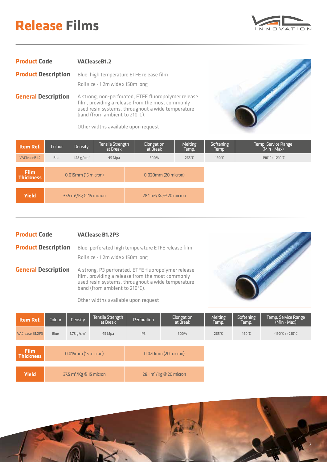

| <b>Product Code</b>        | <b>VACleaseB1.2</b>                                                                                      |
|----------------------------|----------------------------------------------------------------------------------------------------------|
| <b>Product Description</b> | Blue, high temperature ETFE release film                                                                 |
|                            | Roll size - 1.2m wide x 150m long                                                                        |
| <b>General Description</b> | A strong, non-perforated, ETFE fluoropolymer release<br>film, providing a release from the most commonly |

Other widths available upon request

band (from ambient to 210°C).

used resin systems, throughout a wide temperature



| <b>Item Ref.</b>                | Colour                          | Density                | Tensile Strength<br>at Break | Elongation<br>at Break                                 | Melting<br>Temp. | Softening<br>Temp. | Temp. Service Range<br>$(Min - Max)$ |
|---------------------------------|---------------------------------|------------------------|------------------------------|--------------------------------------------------------|------------------|--------------------|--------------------------------------|
| VACleaseB1.2                    | Blue                            | 1.78 g/cm <sup>2</sup> | 45 Mpa                       | 300%                                                   | $265^{\circ}$ C  | 190°C              | $-190^{\circ}$ C: +210 $^{\circ}$ C  |
|                                 |                                 |                        |                              |                                                        |                  |                    |                                      |
| <b>Film</b><br><b>Thickness</b> | 0.015mm (15 micron)             |                        |                              | 0.020mm (20 micron)                                    |                  |                    |                                      |
|                                 |                                 |                        |                              |                                                        |                  |                    |                                      |
| <b>Yield</b>                    | 37.5 $m^2/Kg \otimes 15$ micron |                        |                              | $28.1 \text{ m}^2/\text{Kg} \otimes 20 \text{ micron}$ |                  |                    |                                      |

**Product Code VAClease B1.2P3**

**Product Description** Blue, perforated high temperature ETFE release film Roll size - 1.2m wide x 150m long

**General Description** A strong, P3 perforated, ETFE fluoropolymer release film, providing a release from the most commonly used resin systems, throughout a wide temperature band (from ambient to 210°C).

Other widths available upon request



7

| <b>Item Ref.</b>                | Colour                              | Density                | Tensile Strength<br>at Break                           | Perforation    | Elongation<br>at Break | Melting<br>Temp. | Softening<br>Temp. | Temp. Service Range<br>(Min - Max)  |
|---------------------------------|-------------------------------------|------------------------|--------------------------------------------------------|----------------|------------------------|------------------|--------------------|-------------------------------------|
| VAClease B1.2P3                 | Blue                                | 1.78 g/cm <sup>2</sup> | 45 Mpa                                                 | P <sub>3</sub> | 300%                   | $265^{\circ}$ C  | 190°C              | $-190^{\circ}$ C: +210 $^{\circ}$ C |
|                                 |                                     |                        |                                                        |                |                        |                  |                    |                                     |
| <b>Film</b><br><b>Thickness</b> | 0.015mm (15 micron)                 |                        | 0.020mm (20 micron)                                    |                |                        |                  |                    |                                     |
|                                 |                                     |                        |                                                        |                |                        |                  |                    |                                     |
| <b>Yield</b>                    | 37.5 m <sup>2</sup> /Kg @ 15 micron |                        | $28.1 \text{ m}^2/\text{Kg} \otimes 20 \text{ micron}$ |                |                        |                  |                    |                                     |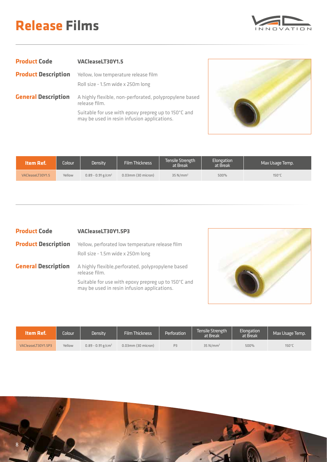

| <b>Product Code</b>        | VACleaseLT30Y1.5                                                                                   |
|----------------------------|----------------------------------------------------------------------------------------------------|
| <b>Product Description</b> | Yellow, low temperature release film<br>Roll size - 1.5m wide x 250m long                          |
| <b>General Description</b> | A highly flexible, non-perforated, polypropylene based<br>release film.                            |
|                            | Suitable for use with epoxy prepreg up to 150°C and<br>may be used in resin infusion applications. |
|                            |                                                                                                    |



| Item Ref.        | Colour <sup>1</sup> | Density'                        | <b>Film Thickness</b>      | Tensile Strength<br>at Break | <b>Elongation</b><br>at Break | Max Usage Temp. |
|------------------|---------------------|---------------------------------|----------------------------|------------------------------|-------------------------------|-----------------|
| VACleaseLT30Y1.5 | Yellow              | $0.89 - 0.91$ g/cm <sup>2</sup> | $0.03$ mm $(30$ micron $)$ | $35$ N/mm <sup>2</sup>       | 500%                          | $150^\circ C$   |

| <b>Product Code</b>        | VACleaseLT30Y1.5P3                                                                                 |
|----------------------------|----------------------------------------------------------------------------------------------------|
| <b>Product Description</b> | Yellow, perforated low temperature release film<br>Roll size - 1.5m wide x 250m long               |
| <b>General Description</b> | A highly flexible, perforated, polypropylene based<br>release film.                                |
|                            | Suitable for use with epoxy prepreg up to 150°C and<br>may be used in resin infusion applications. |



| ltem Ref.          | <b>Colour</b> | Density                         | <b>Film Thickness</b> | l Perforation <sup>1</sup> | <b>Tensile Strength</b><br>at Break | Elongation<br>at Break | Max Usage Temp. |
|--------------------|---------------|---------------------------------|-----------------------|----------------------------|-------------------------------------|------------------------|-----------------|
| VACleaseLT30Y1.5P3 | Yellow        | $0.89 - 0.91$ g/cm <sup>2</sup> | $0.03$ mm (30 micron) | P <sub>3</sub>             | $35$ N/mm <sup>2</sup>              | 500%                   | 150°C           |

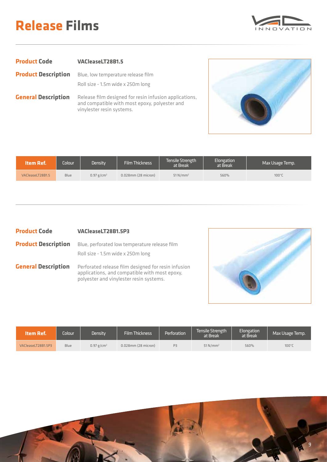

| <b>Product Code</b>        | VACleaseLT28B1.5                                                                                                                     |
|----------------------------|--------------------------------------------------------------------------------------------------------------------------------------|
| <b>Product Description</b> | Blue, low temperature release film<br>Roll size - 1.5m wide x 250m long                                                              |
| <b>General Description</b> | Release film designed for resin infusion applications,<br>and compatible with most epoxy, polyester and<br>vinylester resin systems. |



| Item Ref.        | <b>Colour</b> | Density !     | <b>Film Thickness</b>       | Tensile Strength<br>at Break | Elongation <sup>1</sup><br>at Break | Max Usage Temp. |
|------------------|---------------|---------------|-----------------------------|------------------------------|-------------------------------------|-----------------|
| VACleaseLT28B1.5 | <b>Blue</b>   | $0.97 g/cm^2$ | $0.028$ mm $(28$ micron $)$ | $51$ N/mm <sup>2</sup>       | 560%                                | $100^{\circ}$ C |

| <b>Product Code</b>        | VACleaseLT28B1.5P3                                                                                                                              |
|----------------------------|-------------------------------------------------------------------------------------------------------------------------------------------------|
| <b>Product Description</b> | Blue, perforated low temperature release film<br>Roll size - 1.5m wide x 250m long                                                              |
| <b>General Description</b> | Perforated release film designed for resin infusion<br>applications, and compatible with most epoxy,<br>polyester and vinylester resin systems. |



| Item Ref.          | Colour <sup>1</sup> | Density       | <b>Film Thickness</b>       | <b>Perforation</b> | Tensile Strength<br>at Break | Elongation<br>at Break | Max Usage Temp. |
|--------------------|---------------------|---------------|-----------------------------|--------------------|------------------------------|------------------------|-----------------|
| VACleaseLT28B1.5P3 | Blue                | $0.97 g/cm^2$ | $0.028$ mm $(28$ micron $)$ | P <sub>3</sub>     | $51$ N/mm <sup>2</sup>       | 560%                   | $100^{\circ}$ C |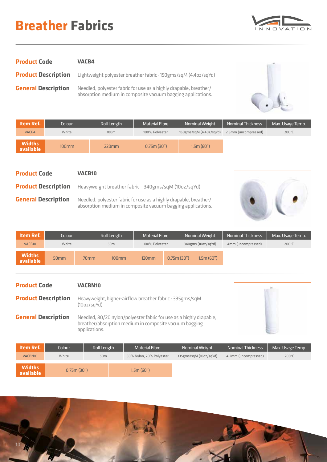## **Breather Fabrics**



| <b>Product Code</b>        | <b>VACB4</b>                                                                                                                     |
|----------------------------|----------------------------------------------------------------------------------------------------------------------------------|
| <b>Product Description</b> | Lightweight polyester breather fabric - 150gms/sqM (4.4oz/sqYd)                                                                  |
| <b>General Description</b> | Needled, polyester fabric for use as a highly drapable, breather/<br>absorption medium in composite vacuum bagging applications. |



| Item Ref.                  | Colour   | Roll Length | Material Fibre | Nominal Weight          | <b>Nominal Thickness</b> | Max. Usage Temp. |
|----------------------------|----------|-------------|----------------|-------------------------|--------------------------|------------------|
| VACB4                      | White    | 100m        | 100% Polyester | 150gms/sqM (4.40z/sqYd) | 2.5mm (uncompressed)     | $200^{\circ}$ C  |
| <b>Widths</b><br>available | $100$ mm | $220$ mm    | 0.75m(30")     | 1.5m(60")               |                          |                  |

| <b>Product Code</b>        | <b>VACB10</b>                                                                                                                    |  |
|----------------------------|----------------------------------------------------------------------------------------------------------------------------------|--|
| <b>Product Description</b> | Heavyweight breather fabric - 340gms/sqM (10oz/sqYd)                                                                             |  |
| <b>General Description</b> | Needled, polyester fabric for use as a highly drapable, breather/<br>absorption medium in composite vacuum bagging applications. |  |

| <b>Item Ref.</b>           | Colour           |                  | Roll Length     | Material Fibre |            | Nominal Weight     |           | <b>Nominal Thickness</b> | Max. Usage Temp. |
|----------------------------|------------------|------------------|-----------------|----------------|------------|--------------------|-----------|--------------------------|------------------|
| VACB <sub>10</sub>         | White            |                  | 50 <sub>m</sub> | 100% Polyester |            | 340gms (10oz/sqYd) |           | 4mm (uncompressed)       | $200^{\circ}$ C  |
| <b>Widths</b><br>available | 50 <sub>mm</sub> | 70 <sub>mm</sub> | $100$ mm        | $120$ mm       | 0.75m(30") |                    | 1.5m(60") |                          |                  |

| <b>Product Code</b>        |            |                 |                                                                                                                               |                        |                          |                  |
|----------------------------|------------|-----------------|-------------------------------------------------------------------------------------------------------------------------------|------------------------|--------------------------|------------------|
| <b>Product Description</b> |            | (10oz/sqYd)     | Heavyweight, higher-airflow breather fabric - 335gms/sqM                                                                      |                        |                          |                  |
| <b>General Description</b> |            | applications.   | Needled, 80/20 nylon/polyester fabric for use as a highly drapable,<br>breather/absorption medium in composite vacuum bagging |                        |                          |                  |
| <b>Item Ref.</b>           | Colour     | Roll Length     | <b>Material Fibre</b>                                                                                                         | Nominal Weight         | <b>Nominal Thickness</b> | Max. Usage Temp. |
| VACBN10                    | White      | 50 <sub>m</sub> | 80% Nylon, 20% Polyester                                                                                                      | 335gms/sqM (10oz/sqYd) | 4.2mm (uncompressed)     | $200^{\circ}$ C  |
| <b>Widths</b><br>available | 0.75m(30") |                 | 1.5m(60")                                                                                                                     |                        |                          |                  |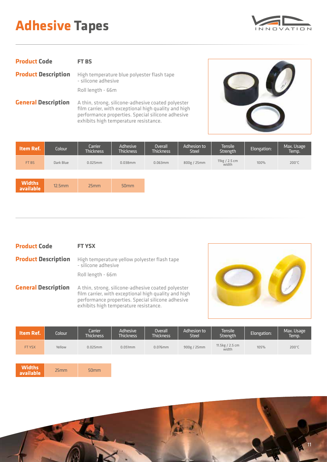## **Adhesive Tapes**



| <b>Product Code</b>                                                                                             | FT BS                                                             |  |  |  |  |
|-----------------------------------------------------------------------------------------------------------------|-------------------------------------------------------------------|--|--|--|--|
| <b>Product Description</b>                                                                                      | High temperature blue polyester flash tape<br>- silicone adhesive |  |  |  |  |
|                                                                                                                 | Roll length - 66m                                                 |  |  |  |  |
| a che della contratta di contratto della contratta della contratta della contratta della contratta della contra |                                                                   |  |  |  |  |

**General Description** A thin, strong, silicone-adhesive coated polyester film carrier, with exceptional high quality and high performance properties. Special silicone adhesive exhibits high temperature resistance.



| Item Ref.                  | Colour    | Carrier<br><b>Thickness</b> | Adhesive<br><b>Thickness</b> | Overall<br><b>Thickness</b> | Adhesion to<br><b>Steel</b> | <b>Tensile</b><br>Strength | Elongation: | Max. Usage<br>Temp. |
|----------------------------|-----------|-----------------------------|------------------------------|-----------------------------|-----------------------------|----------------------------|-------------|---------------------|
| FT BS                      | Dark Blue | $0.025$ mm                  | $0.038$ mm                   | $0.063$ mm                  | 800g / 25mm                 | 11kg / 2.5 cm<br>width     | 100%        | 200°C               |
|                            |           |                             |                              |                             |                             |                            |             |                     |
| <b>Widths</b><br>available | 12.5mm    | 25mm                        | 50 <sub>mm</sub>             |                             |                             |                            |             |                     |

| <b>Product Code</b>        | <b>FT YSX</b>                                                                                              |
|----------------------------|------------------------------------------------------------------------------------------------------------|
| <b>Product Description</b> | High temperature yellow polyester flash tape<br>- silicone adhesive                                        |
|                            | Roll length - 66m                                                                                          |
| <b>General Description</b> | A thin, strong, silicone-adhesive coated polyester<br>film carrier, with exceptional high quality and high |



| <b>Item Ref.</b>           | Colour | Carrier<br><b>Thickness</b> | Adhesive<br><b>Thickness</b> | Overall<br><b>Thickness</b> | Adhesion to<br><b>Steel</b> | <b>Tensile</b><br>Strength | Elongation: | Max. Usage<br>Temp. |
|----------------------------|--------|-----------------------------|------------------------------|-----------------------------|-----------------------------|----------------------------|-------------|---------------------|
| FT YSX                     | Yellow | $0.025$ mm                  | 0.051mm                      | $0.076$ mm                  | 900g / 25mm                 | 11.5kg / 2.5 cm<br>width   | 105%        | $200^{\circ}$ C     |
|                            |        |                             |                              |                             |                             |                            |             |                     |
| <b>Widths</b><br>available | 25mm   | 50 <sub>mm</sub>            |                              |                             |                             |                            |             |                     |

performance properties. Special silicone adhesive

exhibits high temperature resistance.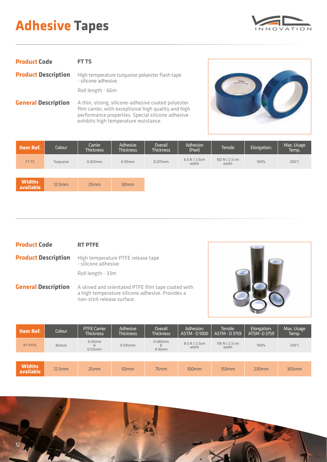## **Adhesive Tapes**



| FT TS                                                                                              |
|----------------------------------------------------------------------------------------------------|
| <b>Product Description</b> High temperature turquoise polyester flash tape<br>- silicone adhesive. |
| Roll length - 66m                                                                                  |
|                                                                                                    |

**General Description** A thin, strong, silicone-adhesive coated polyester film carrier, with exceptional high quality and high performance properties. Special silicone adhesive exhibits high temperature resistance.



| Item Ref.                  | Colour    | Carrier<br><b>Thickness</b> | Adhesive<br><b>Thickness</b> | Overall<br><b>Thickness</b> | Adhesion<br>(Peel)      | Tensile                   | Elongation: | Max. Usage<br>Temp. |
|----------------------------|-----------|-----------------------------|------------------------------|-----------------------------|-------------------------|---------------------------|-------------|---------------------|
| FT TS                      | Turquoise | 0.025mm                     | $0.05$ mm                    | $0.075$ mm                  | 6.5 N / 2.5 cm<br>width | 102 N $/$ 2.5 cm<br>width | 100%        | 200°C               |
|                            |           |                             |                              |                             |                         |                           |             |                     |
| <b>Widths</b><br>available | 12.5mm    | 25mm                        | 50 <sub>mm</sub>             |                             |                         |                           |             |                     |

| <b>Product Code</b> | <b>RT PTFE</b>                                                                       |
|---------------------|--------------------------------------------------------------------------------------|
|                     | <b>Product Description</b> High temperature PTFE release tape<br>- silicone adhesive |
|                     | Roll length - 33m                                                                    |
|                     | <b>General Description</b> A skived and orientated PTFE film tape coated with        |

non-stick release surface.

a high temperature silicone adhesive. Provides a



| <b>Item Ref.</b>           | Colour        | <b>PTFE Carrier</b><br><b>Thickness</b> | Adhesive<br><b>Thickness</b> | Overall<br><b>Thickness</b>  | Adhesion:<br>ASTM - D1000 | Tensile:<br>ASTM - D3759 | Elongation:<br>ATSM -D 3759 | Max. Usage<br>Temp. |
|----------------------------|---------------|-----------------------------------------|------------------------------|------------------------------|---------------------------|--------------------------|-----------------------------|---------------------|
| RT PTFE                    | <b>Bronze</b> | $0.05$ mm<br>&<br>$0.125$ mm            | 0.035mm                      | $0.085$ mm<br>8<br>$0.16$ mm | 8.5 N / 2.5cm<br>width    | 136 N / 2.5 cm<br>width  | 100%                        | $230^{\circ}$ C     |
|                            |               |                                         |                              |                              |                           |                          |                             |                     |
| <b>Widths</b><br>available | 12.5mm        | 25mm                                    | 50 <sub>mm</sub>             | 75mm                         | $100$ mm                  | $150$ mm                 | 230mm                       | 305mm               |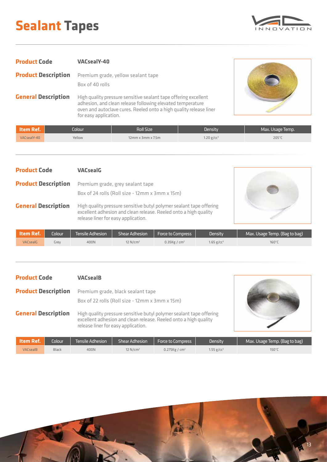## **Sealant Tapes**

![](_page_12_Picture_1.jpeg)

| <b>Product Code</b>        | <b>VACsealY-40</b>                                                                                                                                                                                                           |
|----------------------------|------------------------------------------------------------------------------------------------------------------------------------------------------------------------------------------------------------------------------|
| <b>Product Description</b> | Premium grade, yellow sealant tape<br>Box of 40 rolls                                                                                                                                                                        |
| <b>General Description</b> | High quality pressure sensitive sealant tape offering excellent<br>adhesion, and clean release following elevated temperature<br>oven and autoclave cures. Reeled onto a high quality release liner<br>for easy application. |

![](_page_12_Picture_3.jpeg)

| ltem Ref.   | Colour' | Roll Size'                 | Density                | Max. Usage Temp. |
|-------------|---------|----------------------------|------------------------|------------------|
| VACsealY-40 | Yellow  | $12$ mm x $3$ mm x $7.5$ m | 1.20 g/cc <sup>3</sup> | 205°C            |

| <b>Product Code</b>        | <b>VACsealG</b>                                                                                                                                                                |  |
|----------------------------|--------------------------------------------------------------------------------------------------------------------------------------------------------------------------------|--|
| <b>Product Description</b> | Premium grade, grey sealant tape<br>Box of 24 rolls (Roll size - 12mm x 3mm x 15m)                                                                                             |  |
| <b>General Description</b> | High quality pressure sensitive butyl polymer sealant tape offering<br>excellent adhesion and clean release. Reeled onto a high quality<br>release liner for easy application. |  |

| <b>Nitem Ref.</b> | <b>Colour</b> | Tensile Adhesion | Shear Adhesion         | <b>Force to Compress</b>    | Density        | Max. Usage Temp. (Bag to bag) |
|-------------------|---------------|------------------|------------------------|-----------------------------|----------------|-------------------------------|
| <b>VACsealG</b>   | urev          | 400N             | $12$ N/cm <sup>2</sup> | $0.35$ Kg / cm <sup>2</sup> | 1.65 g/cc $^3$ | 160°C                         |

| <b>Product Code</b>        | <b>VACsealB</b>                                                                                                                                                                |
|----------------------------|--------------------------------------------------------------------------------------------------------------------------------------------------------------------------------|
| <b>Product Description</b> | Premium grade, black sealant tape<br>Box of 22 rolls (Roll size - 12mm x 3mm x 15m)                                                                                            |
| <b>General Description</b> | High quality pressure sensitive butyl polymer sealant tape offering<br>excellent adhesion and clean release. Reeled onto a high quality<br>release liner for easy application. |

![](_page_12_Picture_8.jpeg)

| l Item Ref.     | Colour <sup>1</sup> | lTensile Adhesion ' | <b>Shear Adhesion</b>  | <b>Force to Compress</b> | <b>Density</b>         | Max. Usage Temp. (Bag to bag) |
|-----------------|---------------------|---------------------|------------------------|--------------------------|------------------------|-------------------------------|
| <b>VACsealB</b> | Black               | 400N                | $12$ N/cm <sup>2</sup> | 0.275Kg / $cm2$          | 1.55 g/cc <sup>3</sup> | 150°C                         |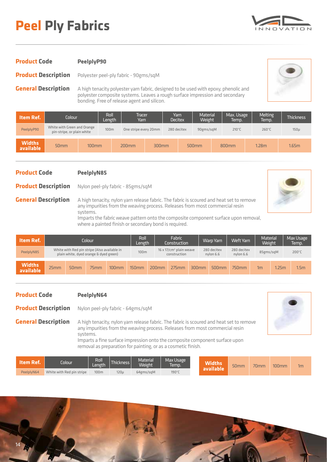## **Peel Ply Fabrics**

![](_page_13_Picture_1.jpeg)

#### **Product Code**

**Product Description** Polyester peel-ply fabric - 90gms/sqM

**PeelplyP90**

**General Description**

A high tenacity polyester yarn fabric, designed to be used with epoxy, phenolic and polyester composite systems. Leaves a rough surface impression and secondary bonding. Free of release agent and silicon.

| <b>Item Ref.</b>           | Colour                                                    |          | Roll<br>Length   | Tracer<br>Yarn        |       | Yarn<br><b>Decitex</b> | <b>Material</b><br>Weight |  | Max. Usage<br>Temp. | <b>Melting</b><br>Temp. | <b>Thickness</b> |
|----------------------------|-----------------------------------------------------------|----------|------------------|-----------------------|-------|------------------------|---------------------------|--|---------------------|-------------------------|------------------|
| PeelplyP90                 | White with Green and Orange<br>pin-stripe, or plain white |          | 100 <sub>m</sub> | One stripe every 20mm |       | 280 decitex            | 90gms/sqM                 |  | $210^{\circ}$ C     | $260^{\circ}$ C         | $150\mu$         |
| <b>Widths</b><br>available | 50 <sub>mm</sub>                                          | $100$ mm |                  | $200$ mm              | 300mm |                        | 500mm                     |  | 800mm               | 1.28 <sub>m</sub>       | 1.65m            |

### **Product Code**

**Product Description**

**General Description**

Nylon peel-ply fabric - 85gms/sqM

**PeelplyN85**

![](_page_13_Picture_10.jpeg)

systems. Imparts the fabric weave pattern onto the composite component surface upon removal, where a painted finish or secondary bond is required.

A high tenacity, nylon yarn release fabric. The fabric is scoured and heat set to remove any impurities from the weaving process. Releases from most commercial resin

| <b>Item Ref.</b>           | Colour |                                                                                        | Fabric<br>Roll<br>Construction<br>Length |          |                   | <b>Warp Yarn</b> | Weft Yarn                                                   | <b>Material</b><br>Weight |                          | Max Usage<br>Temp.       |           |       |                  |
|----------------------------|--------|----------------------------------------------------------------------------------------|------------------------------------------|----------|-------------------|------------------|-------------------------------------------------------------|---------------------------|--------------------------|--------------------------|-----------|-------|------------------|
| PeelplyN85                 |        | White with Red pin stripe (Also available in<br>plain white, dyed orange & dyed green) |                                          |          | 100m              |                  | $16 \times 17$ /cm <sup>2</sup> plain weave<br>construction |                           | 280 decitex<br>nylon 6.6 | 280 decitex<br>nylon 6.6 | 85gms/sqM |       | $200^{\circ}$ C  |
| <b>Widths</b><br>available | 25mm   | 50 <sub>mm</sub>                                                                       | 75mm                                     | $100$ mm | 150 <sub>mm</sub> | 200mm            | 275mm                                                       | 300mm                     | 500 <sub>mm</sub>        | 750mm                    | 1m        | 1.25m | 1.5 <sub>m</sub> |

#### **Product Code PeelplyN64**

**Product Description** Nylon peel-ply fabric - 64gms/sqM

![](_page_13_Picture_15.jpeg)

**General Description** A high tenacity, nylon yarn release fabric. The fabric is scoured and heat set to remove any impurities from the weaving process. Releases from most commercial resin systems. Imparts a fine surface impression onto the composite component surface upon removal as preparation for painting, or as a cosmetic finish.

| $\blacksquare$ Item Ref. $\blacksquare$ | Iolour                    | Roll<br>.eneth | Thickness        | Material <sup>'</sup><br><b>Weight</b> | <b>Max Usage</b><br>Temp. | <b>Widths</b> | 50 <sub>mm</sub> | 70 <sub>mm</sub> | $100$ mm | 1m |
|-----------------------------------------|---------------------------|----------------|------------------|----------------------------------------|---------------------------|---------------|------------------|------------------|----------|----|
| PeelplyN64                              | White with Red pin stripe | 100m           | 120 <sub>u</sub> | 64gms/sqM                              | 190°C                     | Lavailable    |                  |                  |          |    |

![](_page_13_Picture_18.jpeg)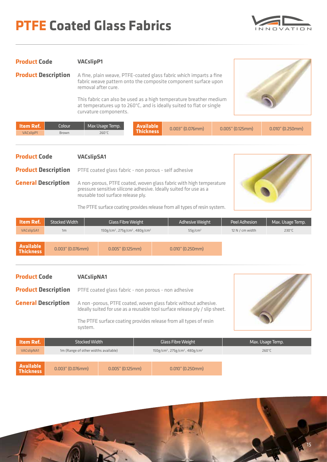## **PTFE Coated Glass Fabrics**

![](_page_14_Picture_1.jpeg)

| <b>Product Code</b> | <b>VACslipP1</b> |
|---------------------|------------------|
|---------------------|------------------|

**Product Description**

A fine, plain weave, PTFE-coated glass fabric which imparts a fine fabric weave pattern onto the composite component surface upon removal after cure.

> This fabric can also be used as a high temperature breather medium at temperatures up to 260°C, and is ideally suited to flat or single curvature components.

![](_page_14_Picture_6.jpeg)

| <b>Item Ref.</b> | Colour <sup>1</sup> | Max Usage Temp. | <b>Available</b> | $0.003"$ (0.076mm) | $0.005"$ (0.125mm) | $0.010$ " (0.250mm) |
|------------------|---------------------|-----------------|------------------|--------------------|--------------------|---------------------|
| VACslipP1        | Brown               | 260°1           | l nickness       |                    |                    |                     |

| <b>Product Code</b><br><b>VACslipSA1</b>                                            |                      |                                                                    |                                                                                                                                                                                                                                                             |                     |                        |  |                 |                  |
|-------------------------------------------------------------------------------------|----------------------|--------------------------------------------------------------------|-------------------------------------------------------------------------------------------------------------------------------------------------------------------------------------------------------------------------------------------------------------|---------------------|------------------------|--|-----------------|------------------|
| <b>Product Description</b><br>PTFE coated glass fabric - non porous - self adhesive |                      |                                                                    |                                                                                                                                                                                                                                                             |                     |                        |  |                 |                  |
| <b>General Description</b>                                                          |                      |                                                                    | A non-porous, PTFE coated, woven glass fabric with high temperature<br>pressure sensitive silicone adhesive. Ideally suited for use as a<br>reusable tool surface release ply.<br>The PTFE surface coating provides release from all types of resin system. |                     |                        |  |                 |                  |
| Item Ref.                                                                           | <b>Stocked Width</b> |                                                                    | <b>Glass Fibre Weight</b>                                                                                                                                                                                                                                   |                     | <b>Adhesive Weight</b> |  | Peel Adhesion   | Max. Usage Temp. |
| <b>VACslipSA1</b>                                                                   | 1 <sub>m</sub>       | 150g/cm <sup>2</sup> , 275g/cm <sup>2</sup> , 480g/cm <sup>2</sup> |                                                                                                                                                                                                                                                             |                     | 55g/cm <sup>2</sup>    |  | 12 N / cm width | $230^{\circ}$ C  |
|                                                                                     |                      |                                                                    |                                                                                                                                                                                                                                                             |                     |                        |  |                 |                  |
| <b>Available</b><br>$0.003$ " (0.076mm)<br><b>Thickness</b>                         |                      | $0.005$ " (0.125mm)                                                |                                                                                                                                                                                                                                                             | $0.010$ " (0.250mm) |                        |  |                 |                  |

| <b>Product Code</b>        |  | <b>VACslipNA1</b>                                                                                                                              |                                                                    |                  |
|----------------------------|--|------------------------------------------------------------------------------------------------------------------------------------------------|--------------------------------------------------------------------|------------------|
| <b>Product Description</b> |  | PTFE coated glass fabric - non porous - non adhesive                                                                                           |                                                                    |                  |
| <b>General Description</b> |  | A non-porous, PTFE coated, woven glass fabric without adhesive.<br>Ideally suited for use as a reusable tool surface release ply / slip sheet. |                                                                    |                  |
|                            |  | The PTFE surface coating provides release from all types of resin<br>system.                                                                   |                                                                    |                  |
|                            |  |                                                                                                                                                |                                                                    |                  |
| Item Ref.                  |  | <b>Stocked Width</b>                                                                                                                           | <b>Glass Fibre Weight</b>                                          | Max. Usage Temp. |
| <b>VACslipNA1</b>          |  | 1m (Range of other widths available)                                                                                                           | 150g/cm <sup>2</sup> , 275g/cm <sup>2</sup> , 480g/cm <sup>2</sup> | $260^{\circ}$ C  |
|                            |  |                                                                                                                                                |                                                                    |                  |
|                            |  |                                                                                                                                                |                                                                    |                  |

**Available**

**Thickness** 0.003" (0.076mm) 0.005" (0.125mm) 0.010" (0.250mm)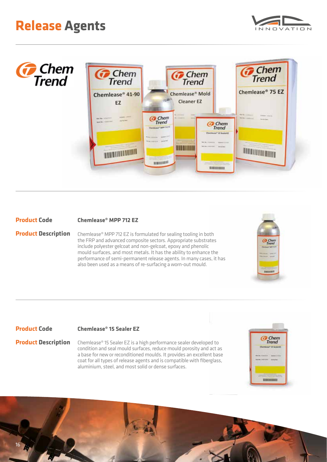![](_page_15_Picture_1.jpeg)

![](_page_15_Picture_2.jpeg)

#### **Product Code Chemlease® MPP 712 EZ**

**Product Description** Chemlease® MPP 712 EZ is formulated for sealing tooling in both the FRP and advanced composite sectors. Appropriate substrates include polyester gelcoat and non-gelcoat, epoxy and phenolic mould surfaces, and most metals. It has the ability to enhance the performance of semi-permanent release agents. In many cases, it has also been used as a means of re-surfacing a worn-out mould.

![](_page_15_Picture_5.jpeg)

#### **Product Code**

### **Chemlease® 15 Sealer EZ**

**Product Description** Chemlease® 15 Sealer EZ is a high performance sealer developed to condition and seal mould surfaces, reduce mould porosity and act as a base for new or reconditioned moulds. It provides an excellent base coat for all types of release agents and is compatible with fiberglass, aluminium, steel, and most solid or dense surfaces.

![](_page_15_Picture_9.jpeg)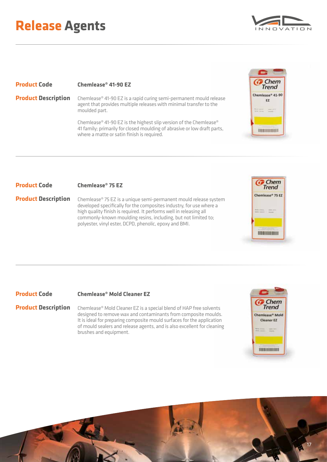## **Release Agents**

![](_page_16_Picture_1.jpeg)

#### **Product Code**

**Product Description**

**Chemlease® 41-90 EZ**

Chemlease® 41-90 EZ is a rapid curing semi-permanent mould release agent that provides multiple releases with minimal transfer to the moulded part.

Chemlease® 41-90 EZ is the highest slip version of the Chemlease® 41 family; primarily for closed moulding of abrasive or low draft parts, where a matte or satin finish is required.

![](_page_16_Picture_7.jpeg)

**Product Description**

Chemlease® 75 EZ is a unique semi-permanent mould release system developed specifically for the composites industry, for use where a high quality finish is required. It performs well in releasing all commonly-known moulding resins, including, but not limited to; polyester, vinyl ester, DCPD, phenolic, epoxy and BMI.

![](_page_16_Picture_10.jpeg)

### **Chemlease® Mold Cleaner EZ**

**Product Description** Chemlease® Mold Cleaner EZ is a special blend of HAP free solvents designed to remove wax and contaminants from composite moulds. It is ideal for preparing composite mould surfaces for the application of mould sealers and release agents, and is also excellent for cleaning brushes and equipment.

![](_page_16_Picture_13.jpeg)

![](_page_16_Picture_14.jpeg)

![](_page_16_Picture_15.jpeg)

**C**<br>Trend Chemiease® 75 EZ

them amp

**BREGISHING**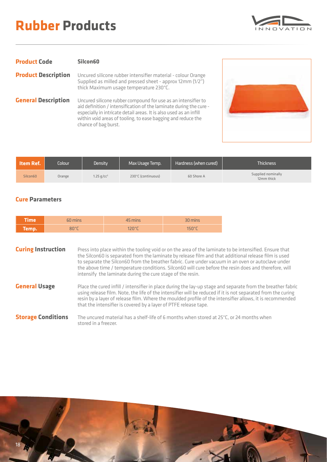## **Rubber Products**

![](_page_17_Picture_1.jpeg)

| <b>Product Code</b>        | Silcon60                                                                                                                                                                                                                                                                                          |
|----------------------------|---------------------------------------------------------------------------------------------------------------------------------------------------------------------------------------------------------------------------------------------------------------------------------------------------|
| <b>Product Description</b> | Uncured silicone rubber intensifier material - colour Orange<br>Supplied as milled and pressed sheet - approx 12mm (1/2")<br>thick Maximum usage temperature 230°C.                                                                                                                               |
| <b>General Description</b> | Uncured silicone rubber compound for use as an intensifier to<br>aid definition / intensification of the laminate during the cure -<br>especially in intricate detail areas. It is also used as an infill<br>within void areas of tooling, to ease bagging and reduce the<br>chance of bag burst. |

![](_page_17_Picture_3.jpeg)

| <b>\ Item Ref. \</b> | Colour | Density                | Max Usage Temp.    | Hardness (when cured) | <b>Thickness</b>                 |
|----------------------|--------|------------------------|--------------------|-----------------------|----------------------------------|
| Silcon60             | Orange | 1.25 g/cc <sup>3</sup> | 230°C (continuous) | 60 Shore A            | Supplied nominally<br>12mm thick |

#### **Cure Parameters**

| Time   | 60 mins                             | 45 mins | 30 mins         |
|--------|-------------------------------------|---------|-----------------|
| Temp.' | $80^{\circ}$ C<br>$\sim$ 500 $\sim$ | 120°C   | $150^{\circ}$ C |

**Curing Instruction** Press into place within the tooling void or on the area of the laminate to be intensified. Ensure that the Silcon60 is separated from the laminate by release film and that additional release film is used to separate the Silcon60 from the breather fabric. Cure under vacuum in an oven or autoclave under the above time / temperature conditions. Silcon60 will cure before the resin does and therefore, will intensify the laminate during the cure stage of the resin.

**General Usage** Place the cured infill / intensifier in place during the lay-up stage and separate from the breather fabric using release film. Note, the life of the intensifier will be reduced if it is not separated from the curing resin by a layer of release film. Where the moulded profile of the intensifier allows, it is recommended that the intensifier is covered by a layer of PTFE release tape.

**Storage Conditions** The uncured material has a shelf-life of 6 months when stored at 25°C, or 24 months when stored in a freezer.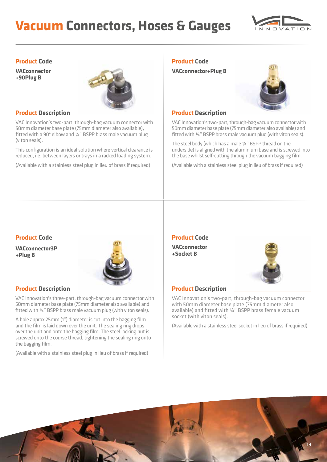## **Vacuum Connectors, Hoses & Gauges**

![](_page_18_Picture_1.jpeg)

#### **Product Code**

**VACconnector +90Plug B**

![](_page_18_Picture_4.jpeg)

### **Product Description**

VAC Innovation's two-part, through-bag vacuum connector with 50mm diameter base plate (75mm diameter also available), fitted with a 90° elbow and ¼" BSPP brass male vacuum plug (viton seals).

This configuration is an ideal solution where vertical clearance is reduced, i.e. between layers or trays in a racked loading system.

(Available with a stainless steel plug in lieu of brass if required)

## **Product Code**

**VACconnector+Plug B**

![](_page_18_Picture_11.jpeg)

### **Product Description**

VAC Innovation's two-part, through-bag vacuum connector with 50mm diameter base plate (75mm diameter also available) and fitted with ¼" BSPP brass male vacuum plug (with viton seals).

The steel body (which has a male ¼" BSPP thread on the underside) is aligned with the aluminium base and is screwed into the base whilst self-cutting through the vacuum bagging film.

(Available with a stainless steel plug in lieu of brass if required)

### **Product Code**

**VACconnector3P +Plug B**

![](_page_18_Picture_18.jpeg)

### **Product Description**

VAC Innovation's three-part, through-bag vacuum connector with 50mm diameter base plate (75mm diameter also available) and fitted with ¼" BSPP brass male vacuum plug (with viton seals).

A hole approx 25mm (1") diameter is cut into the bagging film and the film is laid down over the unit. The sealing ring drops over the unit and onto the bagging film. The steel locking nut is screwed onto the course thread, tightening the sealing ring onto the bagging film.

(Available with a stainless steel plug in lieu of brass if required)

## **Product Code**

**VACconnector +Socket B**

![](_page_18_Picture_25.jpeg)

### **Product Description**

VAC Innovation's two-part, through-bag vacuum connector with 50mm diameter base plate (75mm diameter also available) and fitted with ¼" BSPP brass female vacuum socket (with viton seals).

(Available with a stainless steel socket in lieu of brass if required)

![](_page_18_Picture_29.jpeg)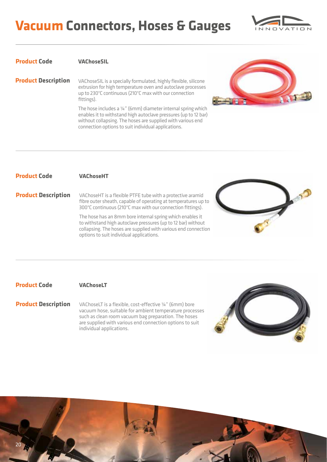## **Vacuum Connectors, Hoses & Gauges**

![](_page_19_Picture_1.jpeg)

#### **Product Code VAChoseSIL**

**Product Description**

VAChoseSIL is a specially formulated, highly flexible, silicone extrusion for high temperature oven and autoclave processes up to 230°C continuous (210°C max with our connection fittings).

The hose includes a ¼" (6mm) diameter internal spring which enables it to withstand high autoclave pressures (up to 12 bar) without collapsing. The hoses are supplied with various end connection options to suit individual applications.

![](_page_19_Picture_6.jpeg)

#### **Product Code VAChoseHT**

**Product Description**

VAChoseHT is a flexible PTFE tube with a protective aramid fibre outer sheath, capable of operating at temperatures up to 300°C continuous (210°C max with our connection fittings).

> The hose has an 8mm bore internal spring which enables it to withstand high autoclave pressures (up to 12 bar) without collapsing. The hoses are supplied with various end connection options to suit individual applications.

![](_page_19_Picture_11.jpeg)

#### **Product Code VAChoseLT**

VAChoseLT is a flexible, cost-effective ¼" (6mm) bore vacuum hose, suitable for ambient temperature processes such as clean room vacuum bag preparation. The hoses are supplied with various end connection options to suit individual applications. **Product Description**

![](_page_19_Picture_15.jpeg)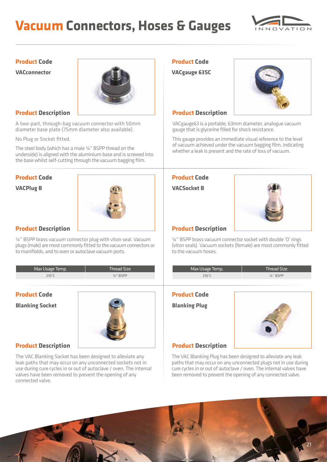## **Vacuum Connectors, Hoses & Gauges**

![](_page_20_Picture_1.jpeg)

### **Product Code**

**VACconnector**

![](_page_20_Picture_4.jpeg)

A two-part, through-bag vacuum connector with 50mm diameter base plate (75mm diameter also available).

No Plug or Socket fitted.

The steel body (which has a male ¼" BSPP thread on the underside) is aligned with the aluminium base and is screwed into the base whilst self-cutting through the vacuum bagging film.

![](_page_20_Picture_11.jpeg)

¼" BSPP brass vacuum connector plug with viton seal. Vacuum plugs (male) are most commonly fitted to the vacuum connectors or to maniflolds, and to oven or autoclave vacuum ports.

#### Max Usage Temp. Thread Size 210°C ¼" BSPP Max Usage Temp. Thread Size  $210^{\circ}$ C  $\frac{1}{4}$   $\frac{1}{8}$  BSPP

## **Product Code**

**Blanking Socket**

![](_page_20_Picture_17.jpeg)

### **Product Description**

The VAC Blanking Socket has been designed to alleviate any leak paths that may occur on any unconnected sockets not in use during cure cycles in or out of autoclave / oven. The internal valves have been removed to prevent the opening of any connected valve.

### **Product Code**

**VACgauge 63SC**

![](_page_20_Picture_22.jpeg)

#### **Product Description Product Description**

VACgauge63 is a portable, 63mm diameter, analogue vacuum gauge that is glycerine filled for shock resistance.

This gauge provides an immediate visual reference to the level of vacuum achieved under the vacuum bagging film, indicating whether a leak is present and the rate of loss of vacuum.

![](_page_20_Picture_28.jpeg)

¼" BSPP brass vacuum connector socket with double 'O' rings (viton seals). Vacuum sockets (female) are most commonly fitted to the vacuum hoses.

| Max Usage Temp. | Thread Size          |
|-----------------|----------------------|
| 210°C           | $\frac{1}{4}$ " BSPP |
|                 |                      |

### **Product Code**

**Blanking Plug**

![](_page_20_Picture_34.jpeg)

### **Product Description**

The VAC Blanking Plug has been designed to alleviate any leak paths that may occur on any unconnected plugs not in use during cure cycles in or out of autoclave / oven. The internal valves have been removed to prevent the opening of any connected valve.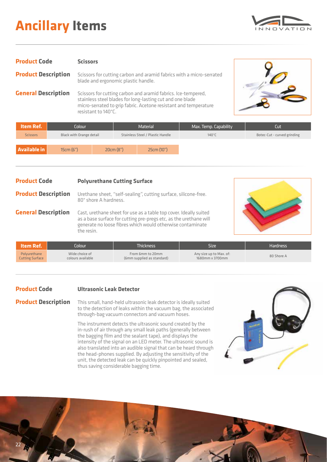## **Ancillary Items**

![](_page_21_Picture_1.jpeg)

| <b>Product Code</b>        | <b>Scissors</b>                                                                                                                                                                                                       |  |
|----------------------------|-----------------------------------------------------------------------------------------------------------------------------------------------------------------------------------------------------------------------|--|
| <b>Product Description</b> | Scissors for cutting carbon and aramid fabrics with a micro-serrated<br>blade and ergonomic plastic handle.                                                                                                           |  |
| <b>General Description</b> | Scissors for cutting carbon and aramid fabrics. Ice-tempered,<br>stainless steel blades for long-lasting cut and one blade<br>micro-serrated to grip fabric. Acetone resistant and temperature<br>resistant to 140°C. |  |

![](_page_21_Picture_3.jpeg)

| Item Ref.           | Colour                   |  |                                  | <b>Material</b> | Max. Temp. Capability | Cut                         |
|---------------------|--------------------------|--|----------------------------------|-----------------|-----------------------|-----------------------------|
| <b>Scissors</b>     | Black with Orange detail |  | Stainless Steel / Plastic Handle |                 | 140°C                 | Botec-Cut - curved grinding |
|                     |                          |  |                                  |                 |                       |                             |
| <b>Available in</b> | 15cm(6")                 |  | 20cm(8")                         | 25cm (10")      |                       |                             |

#### **Product Code Polyurethane Cutting Surface**

**Product Description** Urethane sheet, "self-sealing", cutting surface, silicone-free. 80° shore A hardness.

**General Description** Cast, urethane sheet for use as a table top cover. Ideally suited as a base surface for cutting pre-pregs etc, as the urethane will generate no loose fibres which would otherwise contaminate the resin.

![](_page_21_Picture_8.jpeg)

| lltem Ref.'            | $\mathsf{C}$ olour $\mathsf{C}$ | Thickness'                 | Size                    | <b>Hardness</b> |
|------------------------|---------------------------------|----------------------------|-------------------------|-----------------|
| Polyurethane           | Wide choice of                  | From 6mm to 20mm           | Any size up to Max. of: | 80 Shore A      |
| <b>Cutting Surface</b> | colours available               | (6mm supplied as standard) | 1680mm x 3700mm         |                 |

#### **Product Code Ultrasonic Leak Detector**

**Product Description**

This small, hand-held ultrasonic leak detector is ideally suited to the detection of leaks within the vacuum bag, the associated through-bag vacuum connectors and vacuum hoses.

The instrument detects the ultrasonic sound created by the in-rush of air through any small leak paths (generally between the bagging film and the sealant tape), and displays the intensity of the signal on an LED meter. The ultrasonic sound is also translated into an audible signal that can be heard through the head-phones supplied. By adjusting the sensitivity of the unit, the detected leak can be quickly pinpointed and sealed, thus saving considerable bagging time.

![](_page_21_Picture_14.jpeg)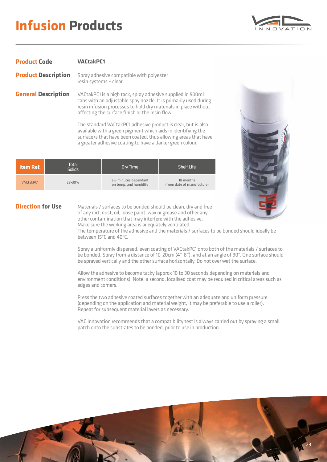## **Infusion Products**

![](_page_22_Picture_1.jpeg)

#### **Product Code Product Description VACtakPC1** Spray adhesive compatible with polyester resin systems – clear.

**General Description** VACtakPC1 is a high tack, spray adhesive supplied in 500ml cans with an adjustable spay nozzle. It is primarily used during resin infusion processes to hold dry materials in place without affecting the surface finish or the resin flow.

> The standard VACtakPC1 adhesive product is clear, but is also available with a green pigment which aids in identifying the surface/s that have been coated, thus allowing areas that have a greater adhesive coating to have a darker green colour.

| Item Ref. | Total<br><b>Solids</b> | Dry Time                                       | Shelf Life                              |
|-----------|------------------------|------------------------------------------------|-----------------------------------------|
| VACtakPC1 | $28 - 30%$             | 3-5 minutes dependant<br>on temp. and humidity | 18 months<br>(from date of manufacture) |

![](_page_22_Picture_6.jpeg)

Materials / surfaces to be bonded should be clean, dry and free of any dirt, dust, oil, loose paint, wax or grease and other any other contamination that may interfere with the adhesive. Make sure the working area is adequately ventilated.

![](_page_22_Picture_8.jpeg)

The temperature of the adhesive and the materials / surfaces to be bonded should ideally be between 15°C and 40°C.

Spray a uniformly dispersed, even coating of VACtakPC1 onto both of the materials / surfaces to be bonded. Spray from a distance of 10-20cm (4"-8"), and at an angle of 90°. One surface should be sprayed vertically and the other surface horizontally. Do not over wet the surface.

Allow the adhesive to become tacky (approx 10 to 30 seconds depending on materials and environment conditions). Note, a second, localised coat may be required in critical areas such as edges and corners.

Press the two adhesive coated surfaces together with an adequate and uniform pressure (depending on the application and material weight, it may be preferable to use a roller). Repeat for subsequent material layers as necessary.

VAC Innovation recommends that a compatibility test is always carried out by spraying a small patch onto the substrates to be bonded, prior to use in production.

![](_page_22_Picture_14.jpeg)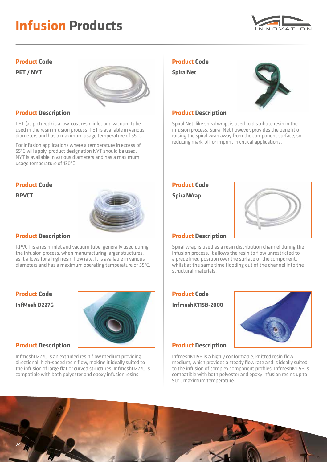## **Infusion Products**

![](_page_23_Picture_1.jpeg)

### **Product Code**

**PET / NYT**

![](_page_23_Picture_4.jpeg)

PET (as pictured) is a low-cost resin inlet and vacuum tube used in the resin infusion process. PET is available in various diameters and has a maximum usage temperature of 55°C.

For infusion applications where a temperature in excess of 55°C will apply, product designation NYT should be used. NYT is available in various diameters and has a maximum usage temperature of 130°C.

![](_page_23_Picture_10.jpeg)

RPVCT is a resin-inlet and vacuum tube, generally used during the infusion process, when manufacturing larger structures, as it allows for a high resin flow rate. It is available in various diameters and has a maximum operating temperature of 55°C.

### **Product Code InfMesh D227G**

![](_page_23_Picture_14.jpeg)

### **Product Description**

InfmeshD227G is an extruded resin flow medium providing directional, high-speed resin flow, making it ideally suited to the infusion of large flat or curved structures. InfmeshD227G is compatible with both polyester and epoxy infusion resins.

### **Product Code**

**SpiralNet**

![](_page_23_Picture_19.jpeg)

Spiral Net, like spiral wrap, is used to distribute resin in the infusion process. Spiral Net however, provides the benefit of raising the spiral wrap away from the component surface, so reducing mark-off or imprint in critical applications.

![](_page_23_Picture_24.jpeg)

Spiral wrap is used as a resin distribution channel during the infusion process. It allows the resin to flow unrestricted to a predefined position over the surface of the component, whilst at the same time flooding out of the channel into the structural materials.

### **Product Code**

**InfmeshK115B-2000**

![](_page_23_Picture_29.jpeg)

### **Product Description**

InfmeshK115B is a highly conformable, knitted resin flow

![](_page_23_Picture_32.jpeg)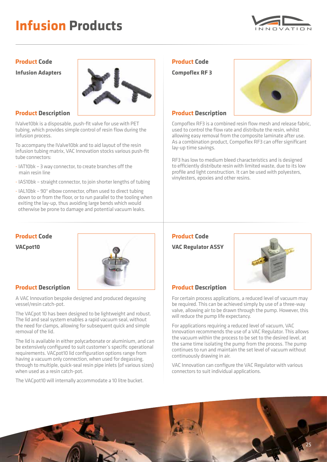## **Infusion Products**

![](_page_24_Picture_1.jpeg)

### **Product Code**

**Infusion Adapters**

![](_page_24_Picture_4.jpeg)

### **Product Description**

IValve10bk is a disposable, push-fit valve for use with PET tubing, which provides simple control of resin flow during the infusion process.

To accompany the IValve10bk and to aid layout of the resin infusion tubing matrix, VAC Innovation stocks various push-fit tube connectors:

- IAT10bk 3 way connector, to create branches off the main resin line
- IAS10bk straight connector, to join shorter lengths of tubing
- IAL10bk 90° elbow connector, often used to direct tubing down to or from the floor, or to run parallel to the tooling when exiting the lay-up, thus avoiding large bends which would otherwise be prone to damage and potential vacuum leaks.

![](_page_24_Picture_13.jpeg)

A VAC Innovation bespoke designed and produced degassing vessel/resin catch-pot.

The VACpot 10 has been designed to be lightweight and robust. The lid and seal system enables a rapid vacuum seal, without the need for clamps, allowing for subsequent quick and simple removal of the lid.

The lid is available in either polycarbonate or aluminium, and can be extensively configured to suit customer's specific operational requirements. VACpot10 lid configuration options range from having a vacuum only connection, when used for degassing, through to multiple, quick-seal resin pipe inlets (of various sizes) when used as a resin catch-pot.

The VACpot10 will internally accommodate a 10 litre bucket.

### **Product Code**

**Compoflex RF 3**

![](_page_24_Picture_21.jpeg)

### **Product Description**

Compoflex RF3 is a combined resin flow mesh and release fabric, used to control the flow rate and distribute the resin, whilst allowing easy removal from the composite laminate after use. As a combination product, Compoflex RF3 can offer significant lay-up time savings.

RF3 has low to medium bleed characteristics and is designed to efficiently distribute resin with limited waste, due to its low profile and light construction. It can be used with polyesters, vinylesters, epoxies and other resins.

![](_page_24_Picture_27.jpeg)

For certain process applications, a reduced level of vacuum may be required. This can be achieved simply by use of a three-way valve, allowing air to be drawn through the pump. However, this will reduce the pump life expectancy.

For applications requiring a reduced level of vacuum, VAC Innovation recommends the use of a VAC Regulator. This allows the vacuum within the process to be set to the desired level, at the same time isolating the pump from the process. The pump continues to run and maintain the set level of vacuum without continuously drawing in air.

VAC Innovation can configure the VAC Regulator with various connectors to suit individual applications.

![](_page_24_Picture_32.jpeg)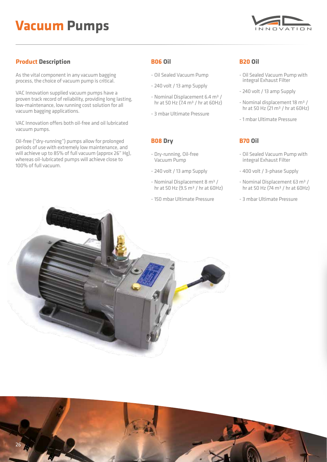## **Vacuum Pumps**

![](_page_25_Picture_1.jpeg)

### **Product Description B06 Oil**

As the vital component in any vacuum bagging process, the choice of vacuum pump is critical.

VAC Innovation supplied vacuum pumps have a proven track record of reliability, providing long lasting, low-maintenance, low running cost solution for all vacuum bagging applications.

VAC Innovation offers both oil-free and oil lubricated vacuum pumps.

Oil-free ("dry-running") pumps allow for prolonged periods of use with extremely low maintenance, and will achieve up to 85% of full vacuum (approx 26" Hg), whereas oil-lubricated pumps will achieve close to 100% of full vacuum.

- Oil Sealed Vacuum Pump
- 240 volt / 13 amp Supply
- Nominal Displacement 6.4 m<sup>3</sup> / hr at 50 Hz (7.4  $\text{m}^3$  / hr at 60Hz)
- 3 mbar Ultimate Pressure

### **B08 Dry**

- Dry-running, Oil-free Vacuum Pump
- 240 volt / 13 amp Supply
- Nominal Displacement 8 m³ / hr at 50 Hz (9.5  $\text{m}^3$  / hr at 60Hz)
- 150 mbar Ultimate Pressure

### **B20 Oil**

- Oil Sealed Vacuum Pump with integral Exhaust Filter
- 240 volt / 13 amp Supply
- Nominal displacement 18 m<sup>3</sup> / hr at 50 Hz  $(21 \text{ m}^3)$  hr at 60Hz)
- 1 mbar Ultimate Pressure

### **B70 Oil**

- Oil Sealed Vacuum Pump with integral Exhaust Filter
- 400 volt / 3-phase Supply
- Nominal Displacement 63 m³ / hr at 50 Hz ( $74 \text{ m}^3$  / hr at 60Hz)
- 3 mbar Ultimate Pressure

![](_page_25_Picture_27.jpeg)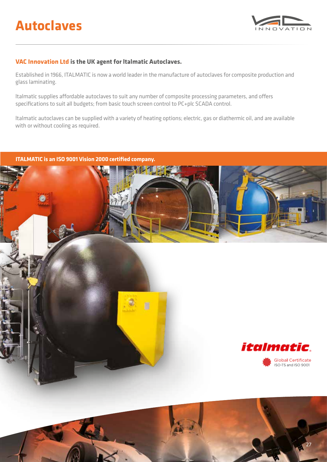![](_page_26_Picture_1.jpeg)

27

### **VAC Innovation Ltd is the UK agent for ltalmatic Autoclaves.**

Established in 1966, ITALMATIC is now a world leader in the manufacture of autoclaves for composite production and glass laminating.

ltalmatic supplies affordable autoclaves to suit any number of composite processing parameters, and offers specifications to suit all budgets; from basic touch screen control to PC+plc SCADA control.

ltalmatic autoclaves can be supplied with a variety of heating options; electric, gas or diathermic oil, and are available with or without cooling as required.

![](_page_26_Picture_6.jpeg)

![](_page_26_Picture_7.jpeg)